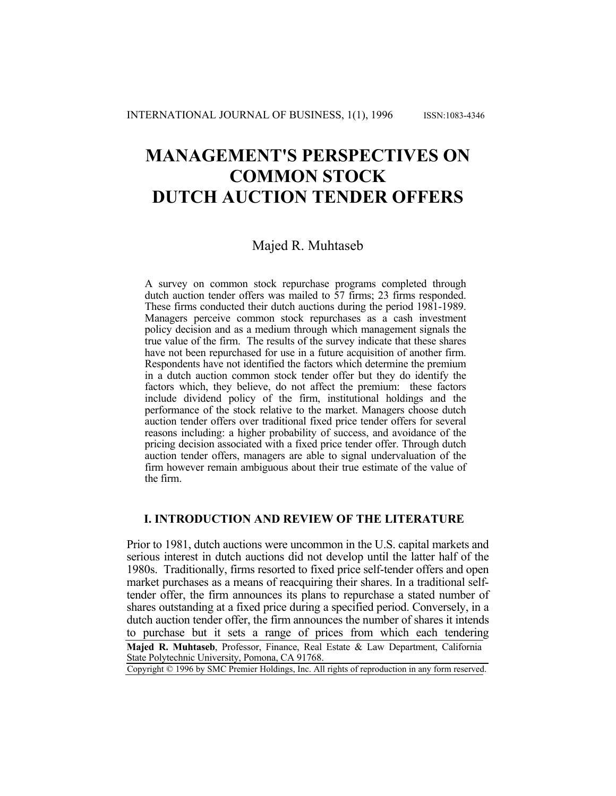# **MANAGEMENT'S PERSPECTIVES ON COMMON STOCK DUTCH AUCTION TENDER OFFERS**

## Majed R. Muhtaseb

A survey on common stock repurchase programs completed through dutch auction tender offers was mailed to 57 firms; 23 firms responded. These firms conducted their dutch auctions during the period 1981-1989. Managers perceive common stock repurchases as a cash investment policy decision and as a medium through which management signals the true value of the firm. The results of the survey indicate that these shares have not been repurchased for use in a future acquisition of another firm. Respondents have not identified the factors which determine the premium in a dutch auction common stock tender offer but they do identify the factors which, they believe, do not affect the premium: these factors include dividend policy of the firm, institutional holdings and the performance of the stock relative to the market. Managers choose dutch auction tender offers over traditional fixed price tender offers for several reasons including: a higher probability of success, and avoidance of the pricing decision associated with a fixed price tender offer. Through dutch auction tender offers, managers are able to signal undervaluation of the firm however remain ambiguous about their true estimate of the value of the firm.

## **I. INTRODUCTION AND REVIEW OF THE LITERATURE**

Prior to 1981, dutch auctions were uncommon in the U.S. capital markets and serious interest in dutch auctions did not develop until the latter half of the 1980s. Traditionally, firms resorted to fixed price self-tender offers and open market purchases as a means of reacquiring their shares. In a traditional selftender offer, the firm announces its plans to repurchase a stated number of shares outstanding at a fixed price during a specified period. Conversely, in a dutch auction tender offer, the firm announces the number of shares it intends to purchase but it sets a range of prices from which each tendering

**Majed R. Muhtaseb**, Professor, Finance, Real Estate & Law Department, California State Polytechnic University, Pomona, CA 91768.

Copyright © 1996 by SMC Premier Holdings, Inc. All rights of reproduction in any form reserved.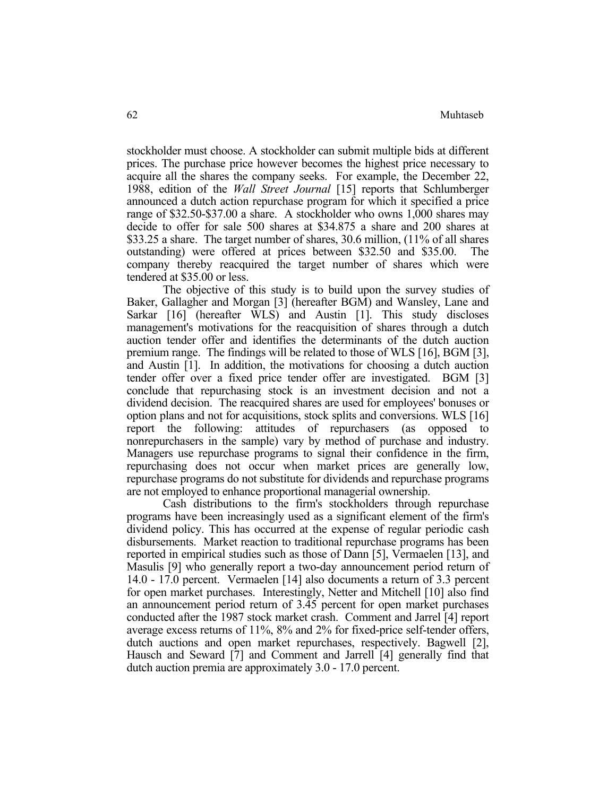stockholder must choose. A stockholder can submit multiple bids at different prices. The purchase price however becomes the highest price necessary to acquire all the shares the company seeks. For example, the December 22, 1988, edition of the *Wall Street Journal* [15] reports that Schlumberger announced a dutch action repurchase program for which it specified a price range of \$32.50-\$37.00 a share. A stockholder who owns 1,000 shares may decide to offer for sale 500 shares at \$34.875 a share and 200 shares at \$33.25 a share. The target number of shares, 30.6 million, (11% of all shares outstanding) were offered at prices between \$32.50 and \$35.00. The company thereby reacquired the target number of shares which were tendered at \$35.00 or less.

 The objective of this study is to build upon the survey studies of Baker, Gallagher and Morgan [3] (hereafter BGM) and Wansley, Lane and Sarkar [16] (hereafter WLS) and Austin [1]. This study discloses management's motivations for the reacquisition of shares through a dutch auction tender offer and identifies the determinants of the dutch auction premium range. The findings will be related to those of WLS [16], BGM [3], and Austin [1]. In addition, the motivations for choosing a dutch auction tender offer over a fixed price tender offer are investigated. BGM [3] conclude that repurchasing stock is an investment decision and not a dividend decision. The reacquired shares are used for employees' bonuses or option plans and not for acquisitions, stock splits and conversions. WLS [16] report the following: attitudes of repurchasers (as opposed to nonrepurchasers in the sample) vary by method of purchase and industry. Managers use repurchase programs to signal their confidence in the firm, repurchasing does not occur when market prices are generally low, repurchase programs do not substitute for dividends and repurchase programs are not employed to enhance proportional managerial ownership.

 Cash distributions to the firm's stockholders through repurchase programs have been increasingly used as a significant element of the firm's dividend policy. This has occurred at the expense of regular periodic cash disbursements. Market reaction to traditional repurchase programs has been reported in empirical studies such as those of Dann [5], Vermaelen [13], and Masulis [9] who generally report a two-day announcement period return of 14.0 - 17.0 percent. Vermaelen [14] also documents a return of 3.3 percent for open market purchases. Interestingly, Netter and Mitchell [10] also find an announcement period return of 3.45 percent for open market purchases conducted after the 1987 stock market crash. Comment and Jarrel [4] report average excess returns of 11%, 8% and 2% for fixed-price self-tender offers, dutch auctions and open market repurchases, respectively. Bagwell [2], Hausch and Seward [7] and Comment and Jarrell [4] generally find that dutch auction premia are approximately 3.0 - 17.0 percent.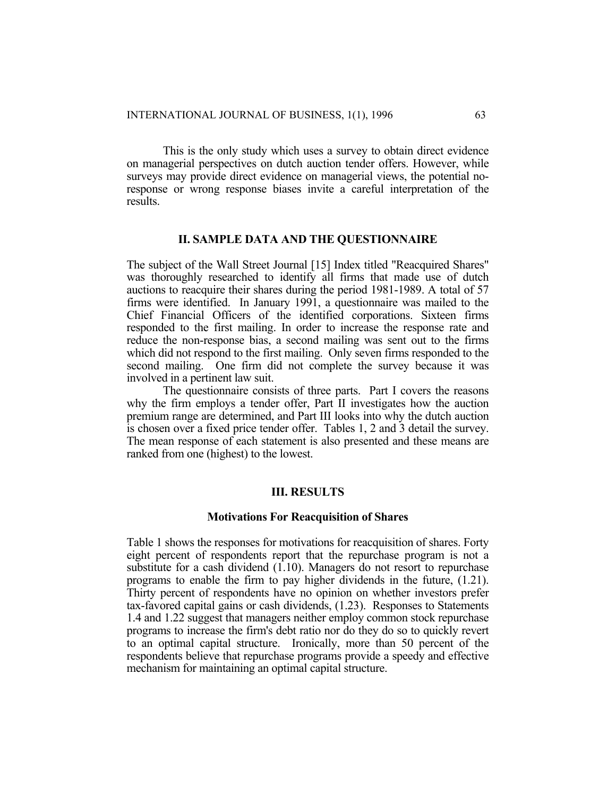This is the only study which uses a survey to obtain direct evidence on managerial perspectives on dutch auction tender offers. However, while surveys may provide direct evidence on managerial views, the potential noresponse or wrong response biases invite a careful interpretation of the results.

## **II. SAMPLE DATA AND THE QUESTIONNAIRE**

The subject of the Wall Street Journal [15] Index titled "Reacquired Shares" was thoroughly researched to identify all firms that made use of dutch auctions to reacquire their shares during the period 1981-1989. A total of 57 firms were identified. In January 1991, a questionnaire was mailed to the Chief Financial Officers of the identified corporations. Sixteen firms responded to the first mailing. In order to increase the response rate and reduce the non-response bias, a second mailing was sent out to the firms which did not respond to the first mailing. Only seven firms responded to the second mailing. One firm did not complete the survey because it was involved in a pertinent law suit.

 The questionnaire consists of three parts. Part I covers the reasons why the firm employs a tender offer, Part II investigates how the auction premium range are determined, and Part III looks into why the dutch auction is chosen over a fixed price tender offer. Tables 1, 2 and 3 detail the survey. The mean response of each statement is also presented and these means are ranked from one (highest) to the lowest.

## **III. RESULTS**

#### **Motivations For Reacquisition of Shares**

Table 1 shows the responses for motivations for reacquisition of shares. Forty eight percent of respondents report that the repurchase program is not a substitute for a cash dividend (1.10). Managers do not resort to repurchase programs to enable the firm to pay higher dividends in the future, (1.21). Thirty percent of respondents have no opinion on whether investors prefer tax-favored capital gains or cash dividends, (1.23). Responses to Statements 1.4 and 1.22 suggest that managers neither employ common stock repurchase programs to increase the firm's debt ratio nor do they do so to quickly revert to an optimal capital structure. Ironically, more than 50 percent of the respondents believe that repurchase programs provide a speedy and effective mechanism for maintaining an optimal capital structure.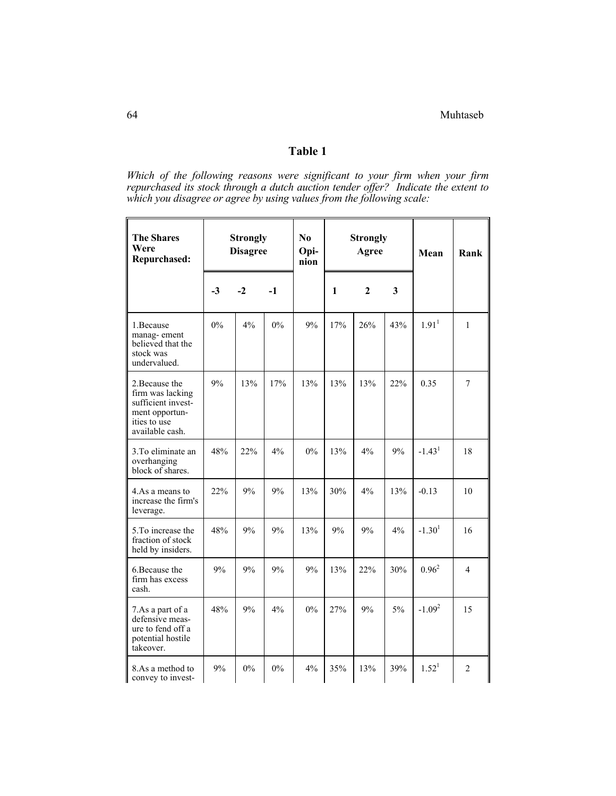# **Table 1**

*Which of the following reasons were significant to your firm when your firm repurchased its stock through a dutch auction tender offer? Indicate the extent to which you disagree or agree by using values from the following scale:*

| <b>The Shares</b><br>Were<br><b>Repurchased:</b>                                                              | <b>Strongly</b><br><b>Disagree</b> |       |       | N <sub>0</sub><br>Opi-<br>nion |     | <b>Strongly</b><br>Agree |     | Mean              | Rank           |
|---------------------------------------------------------------------------------------------------------------|------------------------------------|-------|-------|--------------------------------|-----|--------------------------|-----|-------------------|----------------|
|                                                                                                               | $-3$                               | $-2$  | $-1$  |                                | 1   | $\overline{2}$           | 3   |                   |                |
| 1. Because<br>manag-ement<br>believed that the<br>stock was<br>undervalued.                                   | $0\%$                              | 4%    | $0\%$ | 9%                             | 17% | 26%                      | 43% | 1.91 <sup>1</sup> | $\mathbf{1}$   |
| 2. Because the<br>firm was lacking<br>sufficient invest-<br>ment opportun-<br>ities to use<br>available cash. | 9%                                 | 13%   | 17%   | 13%                            | 13% | 13%                      | 22% | 0.35              | $\tau$         |
| 3. To eliminate an<br>overhanging<br>block of shares.                                                         | 48%                                | 22%   | 4%    | $0\%$                          | 13% | 4%                       | 9%  | $-1.431$          | 18             |
| 4. As a means to<br>increase the firm's<br>leverage.                                                          | 22%                                | 9%    | 9%    | 13%                            | 30% | 4%                       | 13% | $-0.13$           | 10             |
| 5. To increase the<br>fraction of stock<br>held by insiders.                                                  | 48%                                | 9%    | 9%    | 13%                            | 9%  | 9%                       | 4%  | $-1.301$          | 16             |
| 6. Because the<br>firm has excess<br>cash.                                                                    | 9%                                 | 9%    | 9%    | 9%                             | 13% | 22%                      | 30% | $0.96^2$          | $\overline{4}$ |
| 7.As a part of a<br>defensive meas-<br>ure to fend off a<br>potential hostile<br>takeover.                    | 48%                                | 9%    | 4%    | $0\%$                          | 27% | 9%                       | 5%  | $-1.092$          | 15             |
| 8.As a method to<br>convey to invest-                                                                         | 9%                                 | $0\%$ | $0\%$ | 4%                             | 35% | 13%                      | 39% | 1.52 <sup>1</sup> | $\overline{2}$ |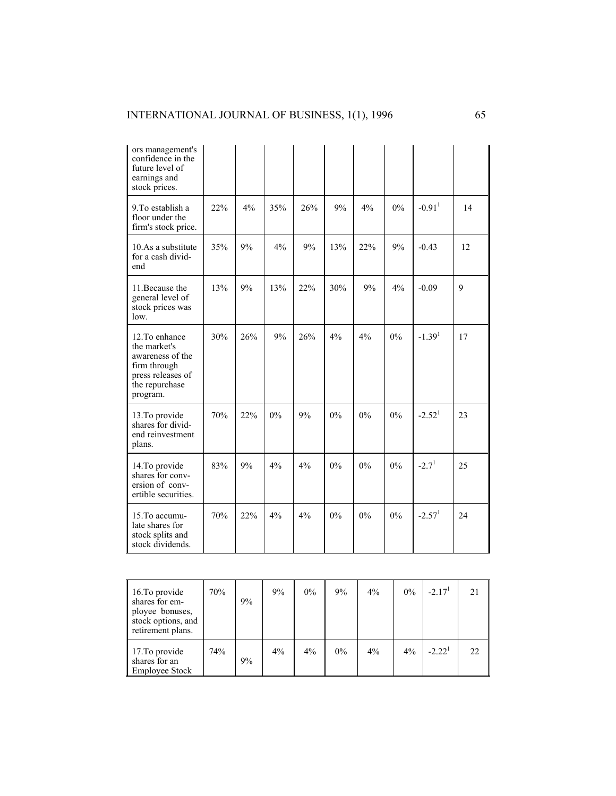## INTERNATIONAL JOURNAL OF BUSINESS, 1(1), 1996 65

| ors management's<br>confidence in the<br>future level of<br>earnings and<br>stock prices.                             |     |     |       |     |       |       |       |                      |    |
|-----------------------------------------------------------------------------------------------------------------------|-----|-----|-------|-----|-------|-------|-------|----------------------|----|
| 9. To establish a<br>floor under the<br>firm's stock price.                                                           | 22% | 4%  | 35%   | 26% | 9%    | $4\%$ | $0\%$ | $-0.91$ <sup>1</sup> | 14 |
| 10.As a substitute<br>for a cash divid-<br>end                                                                        | 35% | 9%  | 4%    | 9%  | 13%   | 22%   | 9%    | $-0.43$              | 12 |
| 11. Because the<br>general level of<br>stock prices was<br>$low$ .                                                    | 13% | 9%  | 13%   | 22% | 30%   | 9%    | 4%    | $-0.09$              | 9  |
| 12. To enhance<br>the market's<br>awareness of the<br>firm through<br>press releases of<br>the repurchase<br>program. | 30% | 26% | 9%    | 26% | 4%    | 4%    | $0\%$ | $-1.391$             | 17 |
| 13. To provide<br>shares for divid-<br>end reinvestment<br>plans.                                                     | 70% | 22% | $0\%$ | 9%  | 0%    | $0\%$ | $0\%$ | $-2.52$ <sup>1</sup> | 23 |
| 14. To provide<br>shares for conv-<br>ersion of conv-<br>ertible securities.                                          | 83% | 9%  | 4%    | 4%  | $0\%$ | $0\%$ | $0\%$ | $-2.71$              | 25 |
| 15. To accumu-<br>late shares for<br>stock splits and<br>stock dividends.                                             | 70% | 22% | 4%    | 4%  | $0\%$ | $0\%$ | $0\%$ | $-2.571$             | 24 |

| 16. To provide<br>shares for em-<br>ployee bonuses,<br>stock options, and<br>retirement plans. | 70% | 9% | 9% | $0\%$ | 9% | 4% | 0% | $-2.171$ | 21 |
|------------------------------------------------------------------------------------------------|-----|----|----|-------|----|----|----|----------|----|
| 17. To provide<br>shares for an<br><b>Employee Stock</b>                                       | 74% | 9% | 4% | 4%    | 0% | 4% | 4% | $-2.221$ | 22 |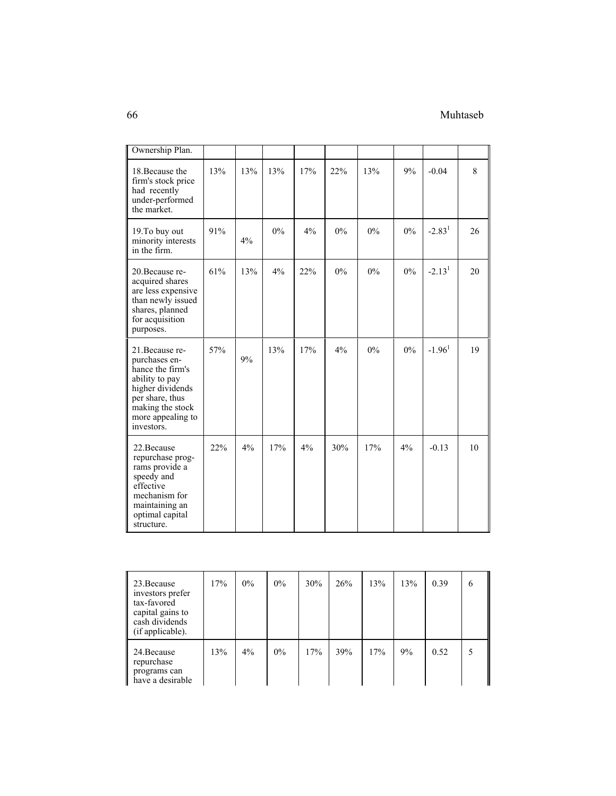## 66 Muhtaseb

| Ownership Plan.                                                                                                                                                      |     |     |       |     |       |       |       |          |    |
|----------------------------------------------------------------------------------------------------------------------------------------------------------------------|-----|-----|-------|-----|-------|-------|-------|----------|----|
| 18. Because the<br>firm's stock price<br>had recently<br>under-performed<br>the market.                                                                              | 13% | 13% | 13%   | 17% | 22%   | 13%   | 9%    | $-0.04$  | 8  |
| 19. To buy out<br>minority interests<br>in the firm.                                                                                                                 | 91% | 4%  | $0\%$ | 4%  | $0\%$ | $0\%$ | $0\%$ | $-2.831$ | 26 |
| 20. Because re-<br>acquired shares<br>are less expensive<br>than newly issued<br>shares, planned<br>for acquisition<br>purposes.                                     | 61% | 13% | 4%    | 22% | $0\%$ | 0%    | $0\%$ | $-2.131$ | 20 |
| 21. Because re-<br>purchases en-<br>hance the firm's<br>ability to pay<br>higher dividends<br>per share, thus<br>making the stock<br>more appealing to<br>investors. | 57% | 9%  | 13%   | 17% | 4%    | $0\%$ | $0\%$ | $-1.961$ | 19 |
| 22. Because<br>repurchase prog-<br>rams provide a<br>speedy and<br>effective<br>mechanism for<br>maintaining an<br>optimal capital<br>structure.                     | 22% | 4%  | 17%   | 4%  | 30%   | 17%   | 4%    | $-0.13$  | 10 |

| 23. Because<br>investors prefer<br>tax-favored<br>capital gains to<br>cash dividends<br>(if applicable). | 17% | $0\%$ | $0\%$ | 30% | 26% | 13% | 13% | 0.39 | 6 |
|----------------------------------------------------------------------------------------------------------|-----|-------|-------|-----|-----|-----|-----|------|---|
| 24. Because<br>repurchase<br>programs can<br>have a desirable                                            | 13% | 4%    | $0\%$ | 17% | 39% | 17% | 9%  | 0.52 |   |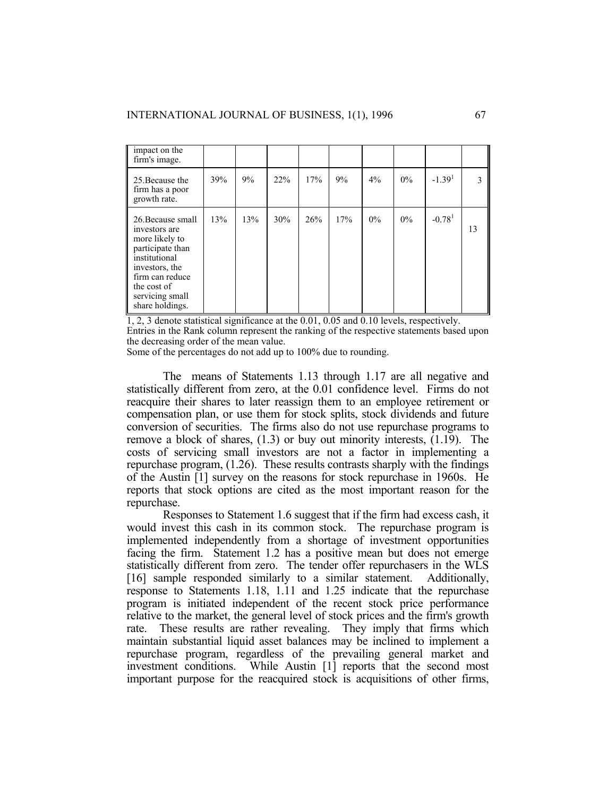| impact on the<br>firm's image.                                                                                                                                                      |     |     |     |     |     |       |       |                      |               |
|-------------------------------------------------------------------------------------------------------------------------------------------------------------------------------------|-----|-----|-----|-----|-----|-------|-------|----------------------|---------------|
| 25 Because the<br>firm has a poor<br>growth rate.                                                                                                                                   | 39% | 9%  | 22% | 17% | 9%  | 4%    | 0%    | $-1.391$             | $\mathcal{L}$ |
| 26. Because small<br>investors are<br>more likely to<br>participate than<br>institutional<br>investors, the<br>firm can reduce<br>the cost of<br>servicing small<br>share holdings. | 13% | 13% | 30% | 26% | 17% | $0\%$ | $0\%$ | $-0.78$ <sup>1</sup> | 13            |

1, 2, 3 denote statistical significance at the 0.01, 0.05 and 0.10 levels, respectively. Entries in the Rank column represent the ranking of the respective statements based upon the decreasing order of the mean value.

Some of the percentages do not add up to 100% due to rounding.

 The means of Statements 1.13 through 1.17 are all negative and statistically different from zero, at the 0.01 confidence level. Firms do not reacquire their shares to later reassign them to an employee retirement or compensation plan, or use them for stock splits, stock dividends and future conversion of securities. The firms also do not use repurchase programs to remove a block of shares, (1.3) or buy out minority interests, (1.19). The costs of servicing small investors are not a factor in implementing a repurchase program, (1.26). These results contrasts sharply with the findings of the Austin [1] survey on the reasons for stock repurchase in 1960s. He reports that stock options are cited as the most important reason for the repurchase.

 Responses to Statement 1.6 suggest that if the firm had excess cash, it would invest this cash in its common stock. The repurchase program is implemented independently from a shortage of investment opportunities facing the firm. Statement 1.2 has a positive mean but does not emerge statistically different from zero. The tender offer repurchasers in the WLS [16] sample responded similarly to a similar statement. Additionally, response to Statements 1.18, 1.11 and 1.25 indicate that the repurchase program is initiated independent of the recent stock price performance relative to the market, the general level of stock prices and the firm's growth rate. These results are rather revealing. They imply that firms which maintain substantial liquid asset balances may be inclined to implement a repurchase program, regardless of the prevailing general market and investment conditions. While Austin [1] reports that the second most important purpose for the reacquired stock is acquisitions of other firms,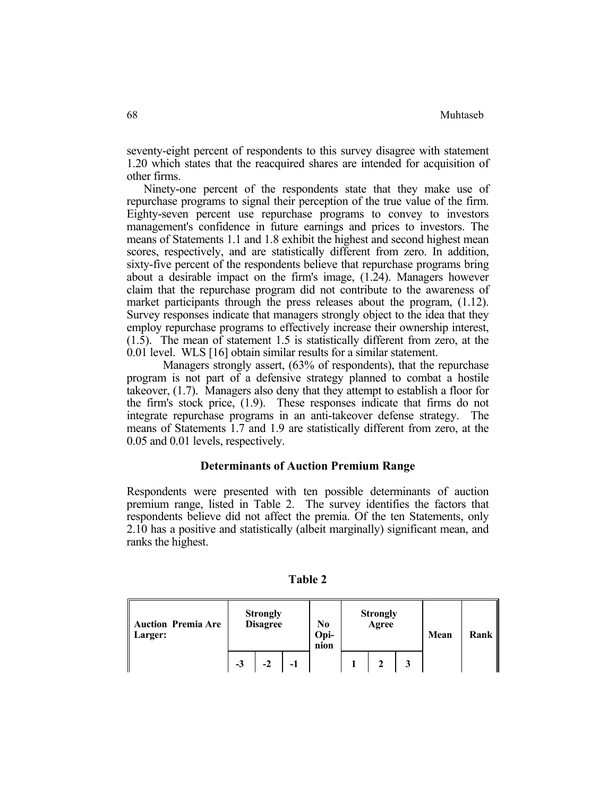seventy-eight percent of respondents to this survey disagree with statement 1.20 which states that the reacquired shares are intended for acquisition of other firms.

 Ninety-one percent of the respondents state that they make use of repurchase programs to signal their perception of the true value of the firm. Eighty-seven percent use repurchase programs to convey to investors management's confidence in future earnings and prices to investors. The means of Statements 1.1 and 1.8 exhibit the highest and second highest mean scores, respectively, and are statistically different from zero. In addition, sixty-five percent of the respondents believe that repurchase programs bring about a desirable impact on the firm's image, (1.24). Managers however claim that the repurchase program did not contribute to the awareness of market participants through the press releases about the program, (1.12). Survey responses indicate that managers strongly object to the idea that they employ repurchase programs to effectively increase their ownership interest, (1.5). The mean of statement 1.5 is statistically different from zero, at the 0.01 level. WLS [16] obtain similar results for a similar statement.

 Managers strongly assert, (63% of respondents), that the repurchase program is not part of a defensive strategy planned to combat a hostile takeover, (1.7). Managers also deny that they attempt to establish a floor for the firm's stock price, (1.9). These responses indicate that firms do not integrate repurchase programs in an anti-takeover defense strategy. The means of Statements 1.7 and 1.9 are statistically different from zero, at the 0.05 and 0.01 levels, respectively.

## **Determinants of Auction Premium Range**

Respondents were presented with ten possible determinants of auction premium range, listed in Table 2. The survey identifies the factors that respondents believe did not affect the premia. Of the ten Statements, only 2.10 has a positive and statistically (albeit marginally) significant mean, and ranks the highest.

| Auction Premia Are<br>   Larger: |                    | <b>Strongly</b><br><b>Disagree</b> |  | N <sub>0</sub><br>Opi-<br>nion | <b>Strongly</b><br>Agree | Mean | Rank |
|----------------------------------|--------------------|------------------------------------|--|--------------------------------|--------------------------|------|------|
|                                  | $-3$<br>$-2$<br>-1 |                                    |  |                                |                          |      |      |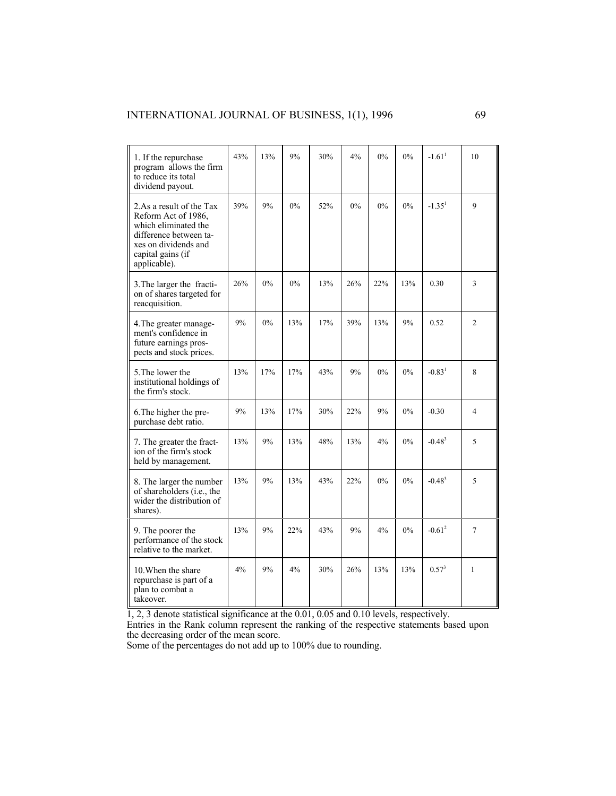| 1. If the repurchase<br>program allows the firm<br>to reduce its total<br>dividend payout.                                                                     | 43% | 13% | 9%    | 30% | 4%    | $0\%$ | $0\%$ | $-1.61$ <sup>1</sup> | 10           |
|----------------------------------------------------------------------------------------------------------------------------------------------------------------|-----|-----|-------|-----|-------|-------|-------|----------------------|--------------|
| 2.As a result of the Tax<br>Reform Act of 1986,<br>which eliminated the<br>difference between ta-<br>xes on dividends and<br>capital gains (if<br>applicable). | 39% | 9%  | $0\%$ | 52% | $0\%$ | $0\%$ | $0\%$ | $-1.351$             | 9            |
| 3. The larger the fracti-<br>on of shares targeted for<br>reacquisition.                                                                                       | 26% | 0%  | 0%    | 13% | 26%   | 22%   | 13%   | 0.30                 | 3            |
| 4. The greater manage-<br>ment's confidence in<br>future earnings pros-<br>pects and stock prices.                                                             | 9%  | 0%  | 13%   | 17% | 39%   | 13%   | 9%    | 0.52                 | 2            |
| 5. The lower the<br>institutional holdings of<br>the firm's stock.                                                                                             | 13% | 17% | 17%   | 43% | 9%    | 0%    | 0%    | $-0.83$ <sup>1</sup> | 8            |
| 6. The higher the pre-<br>purchase debt ratio.                                                                                                                 | 9%  | 13% | 17%   | 30% | 22%   | 9%    | $0\%$ | $-0.30$              | 4            |
| 7. The greater the fract-<br>ion of the firm's stock<br>held by management.                                                                                    | 13% | 9%  | 13%   | 48% | 13%   | 4%    | 0%    | $-0.483$             | 5            |
| 8. The larger the number<br>of shareholders (i.e., the<br>wider the distribution of<br>shares).                                                                | 13% | 9%  | 13%   | 43% | 22%   | 0%    | 0%    | $-0.48^{3}$          | 5            |
| 9. The poorer the<br>performance of the stock<br>relative to the market.                                                                                       | 13% | 9%  | 22%   | 43% | 9%    | 4%    | 0%    | $-0.612$             | 7            |
| 10. When the share<br>repurchase is part of a<br>plan to combat a<br>takeover.                                                                                 | 4%  | 9%  | 4%    | 30% | 26%   | 13%   | 13%   | $0.57^{3}$           | $\mathbf{1}$ |

1, 2, 3 denote statistical significance at the 0.01, 0.05 and 0.10 levels, respectively.

Entries in the Rank column represent the ranking of the respective statements based upon the decreasing order of the mean score.

Some of the percentages do not add up to 100% due to rounding.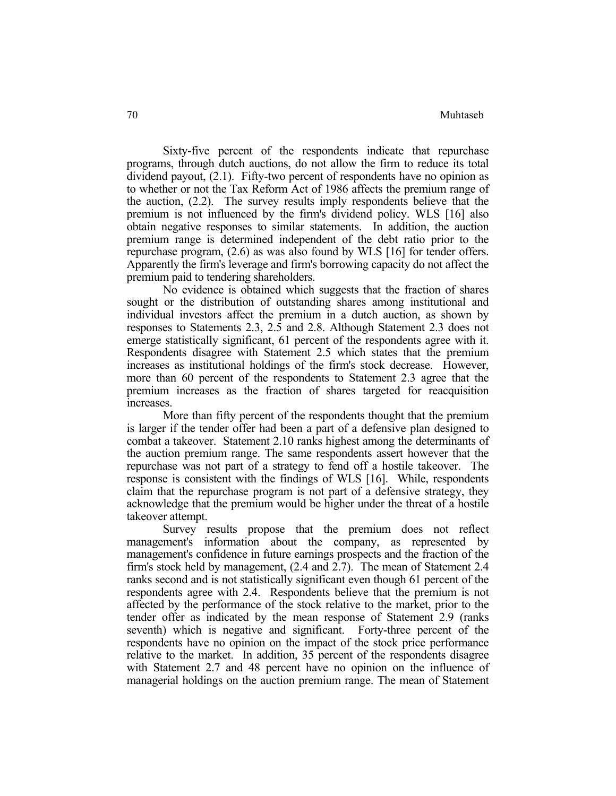Sixty-five percent of the respondents indicate that repurchase programs, through dutch auctions, do not allow the firm to reduce its total dividend payout, (2.1). Fifty-two percent of respondents have no opinion as to whether or not the Tax Reform Act of 1986 affects the premium range of the auction, (2.2). The survey results imply respondents believe that the premium is not influenced by the firm's dividend policy. WLS [16] also obtain negative responses to similar statements. In addition, the auction premium range is determined independent of the debt ratio prior to the repurchase program, (2.6) as was also found by WLS [16] for tender offers. Apparently the firm's leverage and firm's borrowing capacity do not affect the premium paid to tendering shareholders.

 No evidence is obtained which suggests that the fraction of shares sought or the distribution of outstanding shares among institutional and individual investors affect the premium in a dutch auction, as shown by responses to Statements 2.3, 2.5 and 2.8. Although Statement 2.3 does not emerge statistically significant, 61 percent of the respondents agree with it. Respondents disagree with Statement 2.5 which states that the premium increases as institutional holdings of the firm's stock decrease. However, more than 60 percent of the respondents to Statement 2.3 agree that the premium increases as the fraction of shares targeted for reacquisition increases.

 More than fifty percent of the respondents thought that the premium is larger if the tender offer had been a part of a defensive plan designed to combat a takeover. Statement 2.10 ranks highest among the determinants of the auction premium range. The same respondents assert however that the repurchase was not part of a strategy to fend off a hostile takeover. The response is consistent with the findings of WLS [16]. While, respondents claim that the repurchase program is not part of a defensive strategy, they acknowledge that the premium would be higher under the threat of a hostile takeover attempt.

 Survey results propose that the premium does not reflect management's information about the company, as represented by management's confidence in future earnings prospects and the fraction of the firm's stock held by management, (2.4 and 2.7). The mean of Statement 2.4 ranks second and is not statistically significant even though 61 percent of the respondents agree with 2.4. Respondents believe that the premium is not affected by the performance of the stock relative to the market, prior to the tender offer as indicated by the mean response of Statement 2.9 (ranks seventh) which is negative and significant. Forty-three percent of the respondents have no opinion on the impact of the stock price performance relative to the market. In addition, 35 percent of the respondents disagree with Statement 2.7 and 48 percent have no opinion on the influence of managerial holdings on the auction premium range. The mean of Statement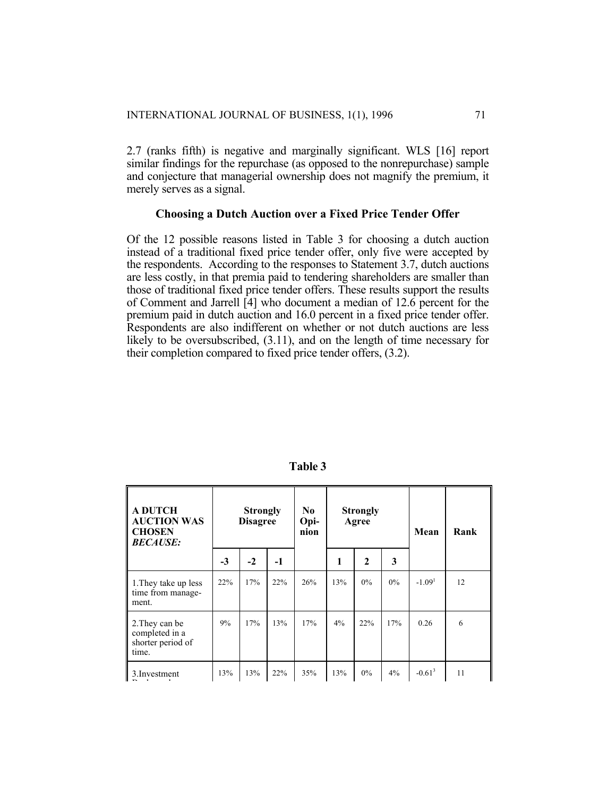2.7 (ranks fifth) is negative and marginally significant. WLS [16] report similar findings for the repurchase (as opposed to the nonrepurchase) sample and conjecture that managerial ownership does not magnify the premium, it merely serves as a signal.

## **Choosing a Dutch Auction over a Fixed Price Tender Offer**

Of the 12 possible reasons listed in Table 3 for choosing a dutch auction instead of a traditional fixed price tender offer, only five were accepted by the respondents. According to the responses to Statement 3.7, dutch auctions are less costly, in that premia paid to tendering shareholders are smaller than those of traditional fixed price tender offers. These results support the results of Comment and Jarrell [4] who document a median of 12.6 percent for the premium paid in dutch auction and 16.0 percent in a fixed price tender offer. Respondents are also indifferent on whether or not dutch auctions are less likely to be oversubscribed, (3.11), and on the length of time necessary for their completion compared to fixed price tender offers, (3.2).

| <b>A DUTCH</b><br><b>AUCTION WAS</b><br><b>CHOSEN</b><br><b>BECAUSE:</b> |      | <b>Strongly</b><br><b>Disagree</b> |      | No.<br>Opi-<br>nion | <b>Strongly</b><br>Agree |              | Mean  | Rank     |    |
|--------------------------------------------------------------------------|------|------------------------------------|------|---------------------|--------------------------|--------------|-------|----------|----|
|                                                                          | $-3$ | $-2$                               | $-1$ |                     | 1                        | $\mathbf{2}$ | 3     |          |    |
| 1. They take up less<br>time from manage-<br>ment.                       | 22%  | 17%                                | 22%  | 26%                 | 13%                      | 0%           | $0\%$ | $-1.091$ | 12 |
| 2. They can be<br>completed in a<br>shorter period of<br>time.           | 9%   | 17%                                | 13%  | 17%                 | 4%                       | 22%          | 17%   | 0.26     | 6  |
| 3. Investment                                                            | 13%  | 13%                                | 22%  | 35%                 | 13%                      | 0%           | 4%    | $-0.613$ | 11 |

**Table 3**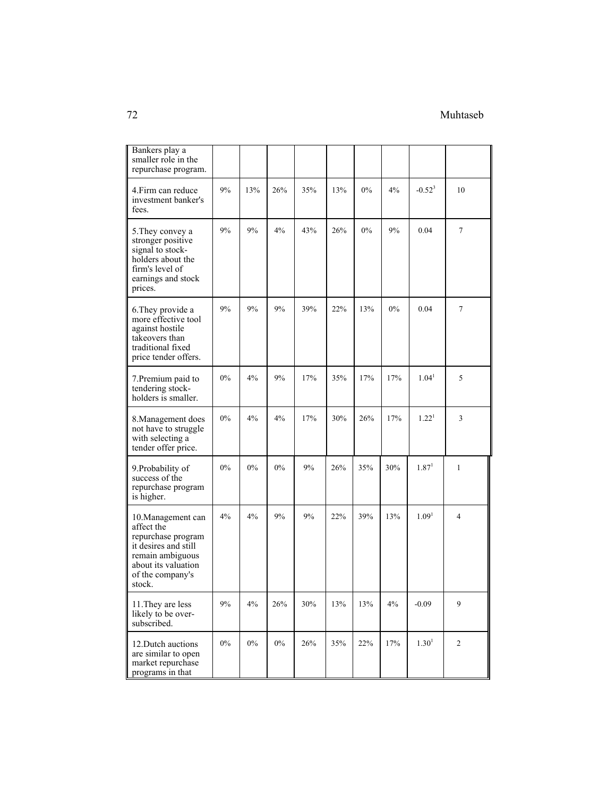## 72 Muhtaseb

| Bankers play a<br>smaller role in the<br>repurchase program.                                                                                            |       |       |       |     |     |       |       |                   |                |
|---------------------------------------------------------------------------------------------------------------------------------------------------------|-------|-------|-------|-----|-----|-------|-------|-------------------|----------------|
| 4. Firm can reduce<br>investment banker's<br>fees.                                                                                                      | 9%    | 13%   | 26%   | 35% | 13% | $0\%$ | 4%    | $-0.52^{3}$       | 10             |
| 5. They convey a<br>stronger positive<br>signal to stock-<br>holders about the<br>firm's level of<br>earnings and stock<br>prices.                      | 9%    | 9%    | 4%    | 43% | 26% | 0%    | 9%    | 0.04              | 7              |
| 6. They provide a<br>more effective tool<br>against hostile<br>takeovers than<br>traditional fixed<br>price tender offers.                              | 9%    | 9%    | 9%    | 39% | 22% | 13%   | $0\%$ | 0.04              | 7              |
| 7. Premium paid to<br>tendering stock-<br>holders is smaller.                                                                                           | $0\%$ | 4%    | 9%    | 17% | 35% | 17%   | 17%   | 1.04 <sup>1</sup> | 5              |
| 8. Management does<br>not have to struggle<br>with selecting a<br>tender offer price.                                                                   | $0\%$ | 4%    | 4%    | 17% | 30% | 26%   | 17%   | 1.22 <sup>1</sup> | 3              |
| 9. Probability of<br>success of the<br>repurchase program<br>is higher.                                                                                 | $0\%$ | $0\%$ | 0%    | 9%  | 26% | 35%   | 30%   | 1.87 <sup>1</sup> | $\mathbf{1}$   |
| 10. Management can<br>affect the<br>repurchase program<br>it desires and still<br>remain ambiguous<br>about its valuation<br>of the company's<br>stock. | 4%    | 4%    | 9%    | 9%  | 22% | 39%   | 13%   | 1.09 <sup>1</sup> | 4              |
| 11. They are less<br>likely to be over-<br>subscribed.                                                                                                  | $9\%$ | $4\%$ | 26%   | 30% | 13% | 13%   | $4\%$ | $-0.09$           | 9              |
| 12. Dutch auctions<br>are similar to open<br>market repurchase<br>programs in that                                                                      | $0\%$ | $0\%$ | $0\%$ | 26% | 35% | 22%   | 17%   | $1.30^{1}$        | $\overline{c}$ |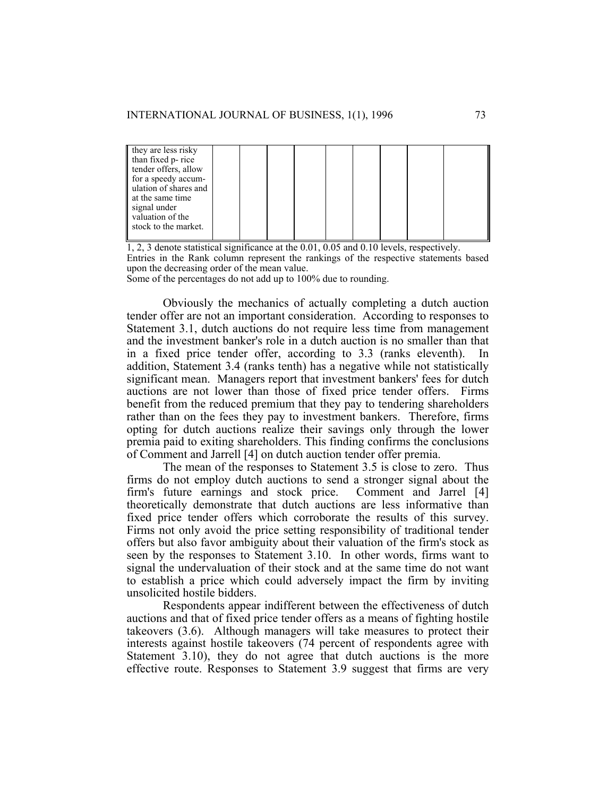| they are less risky   |  |  |  |  |  |
|-----------------------|--|--|--|--|--|
| than fixed p-rice     |  |  |  |  |  |
| tender offers, allow  |  |  |  |  |  |
| for a speedy accum-   |  |  |  |  |  |
| ulation of shares and |  |  |  |  |  |
| at the same time      |  |  |  |  |  |
| signal under          |  |  |  |  |  |
| valuation of the      |  |  |  |  |  |
| stock to the market.  |  |  |  |  |  |
|                       |  |  |  |  |  |

1, 2, 3 denote statistical significance at the 0.01, 0.05 and 0.10 levels, respectively. Entries in the Rank column represent the rankings of the respective statements based upon the decreasing order of the mean value.

Some of the percentages do not add up to 100% due to rounding.

 Obviously the mechanics of actually completing a dutch auction tender offer are not an important consideration. According to responses to Statement 3.1, dutch auctions do not require less time from management and the investment banker's role in a dutch auction is no smaller than that in a fixed price tender offer, according to 3.3 (ranks eleventh). addition, Statement 3.4 (ranks tenth) has a negative while not statistically significant mean. Managers report that investment bankers' fees for dutch auctions are not lower than those of fixed price tender offers. Firms benefit from the reduced premium that they pay to tendering shareholders rather than on the fees they pay to investment bankers. Therefore, firms opting for dutch auctions realize their savings only through the lower premia paid to exiting shareholders. This finding confirms the conclusions of Comment and Jarrell [4] on dutch auction tender offer premia.

 The mean of the responses to Statement 3.5 is close to zero. Thus firms do not employ dutch auctions to send a stronger signal about the firm's future earnings and stock price. Comment and Jarrel [4] theoretically demonstrate that dutch auctions are less informative than fixed price tender offers which corroborate the results of this survey. Firms not only avoid the price setting responsibility of traditional tender offers but also favor ambiguity about their valuation of the firm's stock as seen by the responses to Statement 3.10. In other words, firms want to signal the undervaluation of their stock and at the same time do not want to establish a price which could adversely impact the firm by inviting unsolicited hostile bidders.

 Respondents appear indifferent between the effectiveness of dutch auctions and that of fixed price tender offers as a means of fighting hostile takeovers (3.6). Although managers will take measures to protect their interests against hostile takeovers (74 percent of respondents agree with Statement 3.10), they do not agree that dutch auctions is the more effective route. Responses to Statement 3.9 suggest that firms are very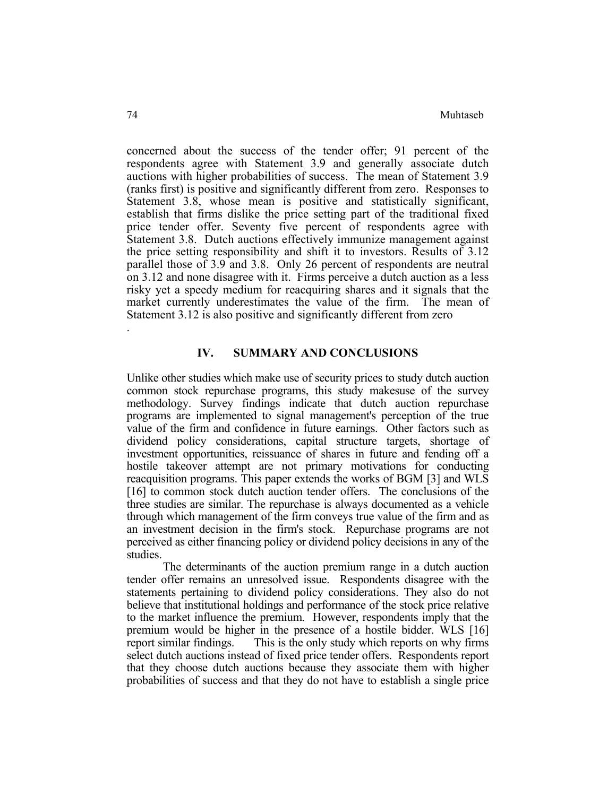concerned about the success of the tender offer; 91 percent of the respondents agree with Statement 3.9 and generally associate dutch auctions with higher probabilities of success. The mean of Statement 3.9 (ranks first) is positive and significantly different from zero. Responses to Statement 3.8, whose mean is positive and statistically significant, establish that firms dislike the price setting part of the traditional fixed price tender offer. Seventy five percent of respondents agree with Statement 3.8. Dutch auctions effectively immunize management against the price setting responsibility and shift it to investors. Results of 3.12 parallel those of 3.9 and 3.8. Only 26 percent of respondents are neutral on 3.12 and none disagree with it. Firms perceive a dutch auction as a less risky yet a speedy medium for reacquiring shares and it signals that the market currently underestimates the value of the firm. The mean of Statement 3.12 is also positive and significantly different from zero .

## **IV. SUMMARY AND CONCLUSIONS**

Unlike other studies which make use of security prices to study dutch auction common stock repurchase programs, this study makesuse of the survey methodology. Survey findings indicate that dutch auction repurchase programs are implemented to signal management's perception of the true value of the firm and confidence in future earnings. Other factors such as dividend policy considerations, capital structure targets, shortage of investment opportunities, reissuance of shares in future and fending off a hostile takeover attempt are not primary motivations for conducting reacquisition programs. This paper extends the works of BGM [3] and WLS [16] to common stock dutch auction tender offers. The conclusions of the three studies are similar. The repurchase is always documented as a vehicle through which management of the firm conveys true value of the firm and as an investment decision in the firm's stock. Repurchase programs are not perceived as either financing policy or dividend policy decisions in any of the studies.

 The determinants of the auction premium range in a dutch auction tender offer remains an unresolved issue. Respondents disagree with the statements pertaining to dividend policy considerations. They also do not believe that institutional holdings and performance of the stock price relative to the market influence the premium. However, respondents imply that the premium would be higher in the presence of a hostile bidder. WLS [16] report similar findings. This is the only study which reports on why firms select dutch auctions instead of fixed price tender offers. Respondents report that they choose dutch auctions because they associate them with higher probabilities of success and that they do not have to establish a single price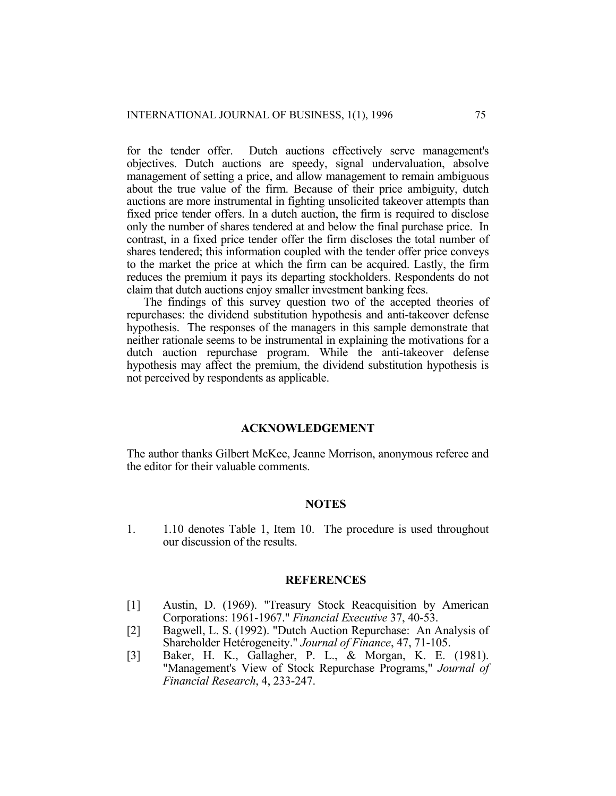for the tender offer. Dutch auctions effectively serve management's objectives. Dutch auctions are speedy, signal undervaluation, absolve management of setting a price, and allow management to remain ambiguous about the true value of the firm. Because of their price ambiguity, dutch auctions are more instrumental in fighting unsolicited takeover attempts than fixed price tender offers. In a dutch auction, the firm is required to disclose only the number of shares tendered at and below the final purchase price. In contrast, in a fixed price tender offer the firm discloses the total number of shares tendered; this information coupled with the tender offer price conveys to the market the price at which the firm can be acquired. Lastly, the firm reduces the premium it pays its departing stockholders. Respondents do not claim that dutch auctions enjoy smaller investment banking fees.

 The findings of this survey question two of the accepted theories of repurchases: the dividend substitution hypothesis and anti-takeover defense hypothesis. The responses of the managers in this sample demonstrate that neither rationale seems to be instrumental in explaining the motivations for a dutch auction repurchase program. While the anti-takeover defense hypothesis may affect the premium, the dividend substitution hypothesis is not perceived by respondents as applicable.

### **ACKNOWLEDGEMENT**

The author thanks Gilbert McKee, Jeanne Morrison, anonymous referee and the editor for their valuable comments.

### **NOTES**

1. 1.10 denotes Table 1, Item 10. The procedure is used throughout our discussion of the results.

### **REFERENCES**

- [1] Austin, D. (1969). "Treasury Stock Reacquisition by American Corporations: 1961-1967." *Financial Executive* 37, 40-53.
- [2] Bagwell, L. S. (1992). "Dutch Auction Repurchase: An Analysis of Shareholder Hetérogeneity." *Journal of Finance*, 47, 71-105.
- [3] Baker, H. K., Gallagher, P. L., & Morgan, K. E. (1981). "Management's View of Stock Repurchase Programs," *Journal of Financial Research*, 4, 233-247.